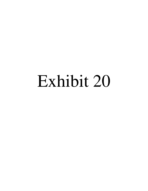# Exhibit 20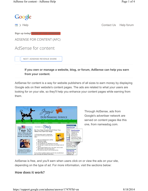## Google

**Help**  $\rightarrow$  Help **Figure 1** Help for  $\rightarrow$  Help for  $\rightarrow$  Help for  $\rightarrow$  Help for  $\rightarrow$  Help for  $\rightarrow$  Help for  $\rightarrow$  Help for  $\rightarrow$  Help for  $\rightarrow$  Help for  $\rightarrow$  Help for  $\rightarrow$  Help for  $\rightarrow$  Help for  $\rightarrow$  Help for  $\rightarrow$  Help for  $\rightarrow$ 

**Sign up today! SIGN UP FOR ADSEN** 

ADSENSE FOR CONTENT (AFC)



NEXT: ADSENSE REVENUE SHARE

**If you own or manage a website, blog, or forum, AdSense can help you earn from your content.**

AdSense for content is a way for website publishers of all sizes to earn money by displaying Google ads on their website's content pages. The ads are related to what your users are looking for on your site, so they'll help you enhance your content pages while earning from them.



Through AdSense, ads from Google's advertiser network are served on content pages like this one, from nameadog.com.

AdSense is free, and you'll earn when users click on or view the ads on your site, depending on the type of ad. For more information, visit the sections below:

#### **How does it work?**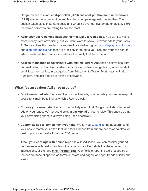- ï Google places relevant **cost-per-click (CPC)** and **cost per thousand impressions (CPM) ads** in the same auction and lets them compete against one another. The auction takes place instantaneously and when it's over our system automatically picks the advertisers who are willing to pay the most.
- ï **Keep your users coming back with contextually targeted ads.** You want to make more money from advertising, but you don't want to show irrelevant ads to your users. AdSense solves this problem by automatically delivering text ads, display ads, link units and high-end mobile ads that are precisely targeted to your site and your site content - ads so well-matched that your readers will actually find them useful.
- ï **Access thousands of advertisers with minimal effort.** AdSense displays ads from our vast network of AdWords advertisers. Our advertisers range from global brands to small local companies, in categories from Education to Travel, Mortgages to Patio Furniture, and just about everything in between.

### **What features does AdSense provide?**

- **Block unwanted ads**: You can filter competitive ads, or other ads you want to keep off your site, simply by telling us which URLs to block.
- **Choose your own default ads:** In the unlikely event that Google can't show targeted ads on your page, we'll let you display a **backup ad** of your choice. This ensures that your advertising space is always being used effectively.
- ï **Customize ads to complement your site**: We let you customize the appearance of your ads to match your site's look and feel. Choose from our pre-set color palettes, or design your own palette from over 200 colors.
- **Track your earnings with online reports**: With AdSense, you can monitor your ad performance with customizable online reports that offer details like the number of ad impressions, clicks, and **click-through rate**. Our flexible reporting tools let you track the performance of specific ad formats, colors and pages, and spot trends quickly and easily.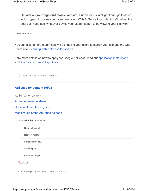**• Get ads on your high-end mobile website**: Our crawler is intelligent enough to detect which types of phones your users are using. With AdSense for content, we'll deliver the best optimized ads, whatever device your users happen to be viewing your site with.

**Get started now**

You can also generate earnings while enabling your users to search your site and the web. Learn about earning with AdSense for search.

Fore more details on how to apply for Google AdSense, read our application instructions and tips for a successful application.

| NEXT: ADSENSE REVENUE SHARE |  |
|-----------------------------|--|
|                             |  |

#### **AdSense for content (AFC)**

AdSense for content

AdSense revenue share

Code implementation guide

Modification of the AdSense ad code

**How helpful is this article:**

Not at all helpful

Not very helpful

Somewhat helpful

Very helpful

Extremely helpful

 $|3+1|$  128

©2014 Google - Privacy Policy - Terms of Service